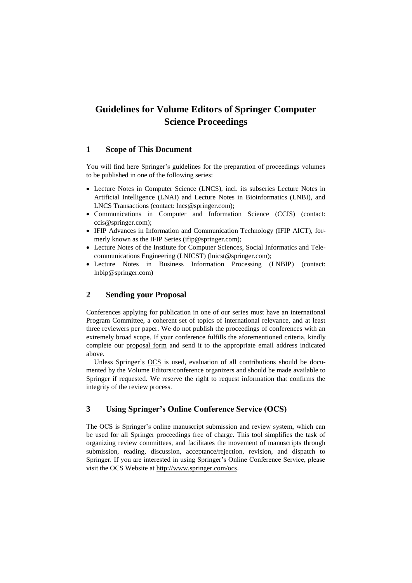# **Guidelines for Volume Editors of Springer Computer Science Proceedings**

## **1 Scope of This Document**

You will find here Springer's guidelines for the preparation of proceedings volumes to be published in one of the following series:

- Lecture Notes in Computer Science (LNCS), incl. its subseries Lecture Notes in Artificial Intelligence (LNAI) and Lecture Notes in Bioinformatics (LNBI), and LNCS Transactions (contact: lncs@springer.com);
- Communications in Computer and Information Science (CCIS) (contact: ccis@springer.com);
- IFIP Advances in Information and Communication Technology (IFIP AICT), formerly known as the IFIP Series (ifip@springer.com);
- Lecture Notes of the Institute for Computer Sciences, Social Informatics and Telecommunications Engineering (LNICST) (lnicst@springer.com);
- Lecture Notes in Business Information Processing (LNBIP) (contact: lnbip@springer.com)

## **2 Sending your Proposal**

Conferences applying for publication in one of our series must have an international Program Committee, a coherent set of topics of international relevance, and at least three reviewers per paper. We do not publish the proceedings of conferences with an extremely broad scope. If your conference fulfills the aforementioned criteria, kindly complete our [proposal form](ftp://ftp.springernature.com/cs-proceeding/proposals/Proceedings_Proposal_cs.docx) and send it to the appropriate email address indicated above.

Unless Springer's [OCS](http://www.springer.com/ocs) is used, evaluation of all contributions should be documented by the Volume Editors/conference organizers and should be made available to Springer if requested. We reserve the right to request information that confirms the integrity of the review process.

## **3 Using Springer's Online Conference Service (OCS)**

The OCS is Springer's online manuscript submission and review system, which can be used for all Springer proceedings free of charge. This tool simplifies the task of organizing review committees, and facilitates the movement of manuscripts through submission, reading, discussion, acceptance/rejection, revision, and dispatch to Springer. If you are interested in using Springer's Online Conference Service, please visit the OCS Website at [http://www.springer.com/ocs.](http://www.springer.com/ocs)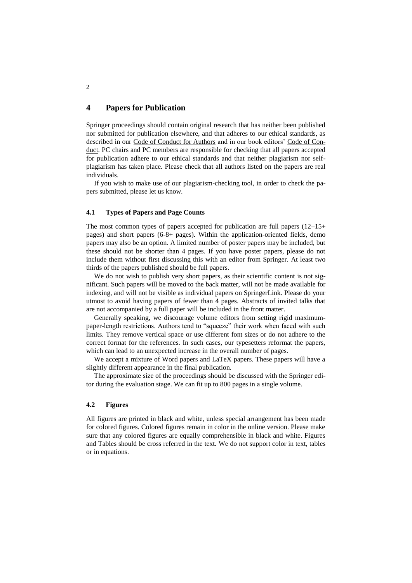## **4 Papers for Publication**

Springer proceedings should contain original research that has neither been published nor submitted for publication elsewhere, and that adheres to our ethical standards, as described in our [Code of Conduct for Authors](https://www.springernature.com/gp/authors/book-authors-code-of-conduct) and in our book editors' [Code of Con](https://www.springernature.com/gp/editors/code-of-conduct-books)[duct.](https://www.springernature.com/gp/editors/code-of-conduct-books) PC chairs and PC members are responsible for checking that all papers accepted for publication adhere to our ethical standards and that neither plagiarism nor selfplagiarism has taken place. Please check that all authors listed on the papers are real individuals.

If you wish to make use of our plagiarism-checking tool, in order to check the papers submitted, please let us know.

#### **4.1 Types of Papers and Page Counts**

The most common types of papers accepted for publication are full papers (12–15+ pages) and short papers (6-8+ pages). Within the application-oriented fields, demo papers may also be an option. A limited number of poster papers may be included, but these should not be shorter than 4 pages. If you have poster papers, please do not include them without first discussing this with an editor from Springer. At least two thirds of the papers published should be full papers.

We do not wish to publish very short papers, as their scientific content is not significant. Such papers will be moved to the back matter, will not be made available for indexing, and will not be visible as individual papers on SpringerLink. Please do your utmost to avoid having papers of fewer than 4 pages. Abstracts of invited talks that are not accompanied by a full paper will be included in the front matter.

Generally speaking, we discourage volume editors from setting rigid maximumpaper-length restrictions. Authors tend to "squeeze" their work when faced with such limits. They remove vertical space or use different font sizes or do not adhere to the correct format for the references. In such cases, our typesetters reformat the papers, which can lead to an unexpected increase in the overall number of pages.

We accept a mixture of Word papers and LaTeX papers. These papers will have a slightly different appearance in the final publication.

The approximate size of the proceedings should be discussed with the Springer editor during the evaluation stage. We can fit up to 800 pages in a single volume.

#### **4.2 Figures**

All figures are printed in black and white, unless special arrangement has been made for colored figures. Colored figures remain in color in the online version. Please make sure that any colored figures are equally comprehensible in black and white. Figures and Tables should be cross referred in the text. We do not support color in text, tables or in equations.

2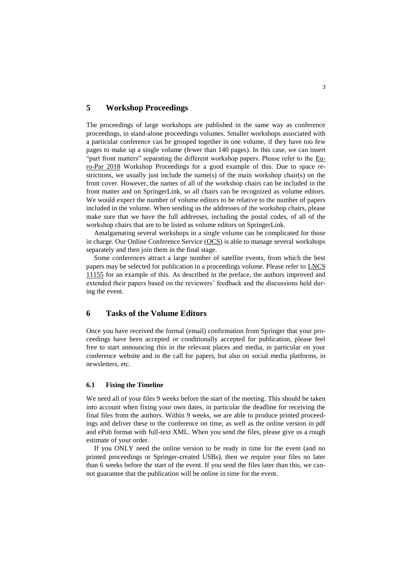## **5 Workshop Proceedings**

The proceedings of large workshops are published in the same way as conference proceedings, in stand-alone proceedings volumes. Smaller workshops associated with a particular conference can be grouped together in one volume, if they have too few pages to make up a single volume (fewer than 140 pages). In this case, we can insert "part front matters" separating the different workshop papers. Please refer to the [Eu](https://link.springer.com/book/10.1007%2F978-3-030-10549-5)[ro-Par 2018](https://link.springer.com/book/10.1007%2F978-3-030-10549-5) Workshop Proceedings for a good example of this. Due to space restrictions, we usually just include the name(s) of the main workshop chair(s) on the front cover. However, the names of all of the workshop chairs can be included in the front matter and on SpringerLink, so all chairs can be recognized as volume editors. We would expect the number of volume editors to be relative to the number of papers included in the volume. When sending us the addresses of the workshop chairs, please make sure that we have the full addresses, including the postal codes, of all of the workshop chairs that are to be listed as volume editors on SpringerLink.

Amalgamating several workshops in a single volume can be complicated for those in charge. Our Online Conference Service [\(OCS\)](https://www.springer.com/de/it-informatik/lncs/online-conference-service) is able to manage several workshops separately and then join them in the final stage.

Some conferences attract a large number of satellite events, from which the best papers may be selected for publication in a proceedings volume. Please refer to [LNCS](https://link.springer.com/book/10.1007%2F978-3-319-98192-5)  [11155](https://link.springer.com/book/10.1007%2F978-3-319-98192-5) for an example of this. As described in the preface, the authors improved and extended their papers based on the reviewers' feedback and the discussions held during the event.

## **6 Tasks of the Volume Editors**

Once you have received the formal (email) confirmation from Springer that your proceedings have been accepted or conditionally accepted for publication, please feel free to start announcing this in the relevant places and media, in particular on your conference website and in the call for papers, but also on social media platforms, in newsletters, etc.

#### **6.1 Fixing the Timeline**

We need all of your files 9 weeks before the start of the meeting. This should be taken into account when fixing your own dates, in particular the deadline for receiving the final files from the authors. Within 9 weeks, we are able to produce printed proceedings and deliver these to the conference on time, as well as the online version in pdf and ePub format with full-text XML. When you send the files, please give us a rough estimate of your order.

If you ONLY need the online version to be ready in time for the event (and no printed proceedings or Springer-created USBs), then we require your files no later than 6 weeks before the start of the event. If you send the files later than this, we cannot guarantee that the publication will be online in time for the event.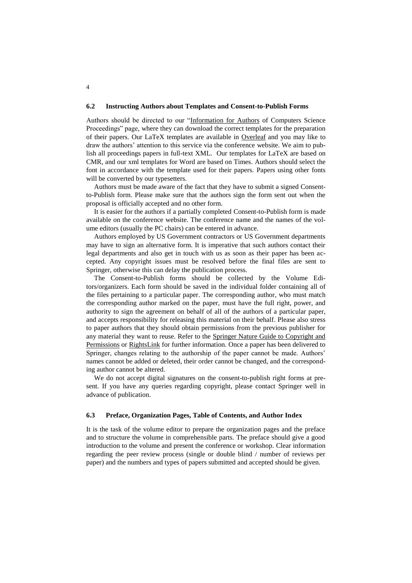#### **6.2 Instructing Authors about Templates and Consent-to-Publish Forms**

Authors should be directed to our ["Information for Authors](https://www.springer.com/gp/computer-science/lncs/conference-proceedings-guidelines) of Computers Science [Proceedings" page,](https://www.springer.com/gp/computer-science/lncs/conference-proceedings-guidelines) where they can download the correct templates for the preparation of their papers. Our LaTeX templates are available in [Overleaf](https://www.overleaf.com/latex/templates/springer-lecture-notes-in-computer-science/kzwwpvhwnvfj#.WsdHOy5uZpg) and you may like to draw the authors' attention to this service via the conference website. We aim to publish all proceedings papers in full-text XML. Our templates for LaTeX are based on CMR, and our xml templates for Word are based on Times. Authors should select the font in accordance with the template used for their papers. Papers using other fonts will be converted by our typesetters.

Authors must be made aware of the fact that they have to submit a signed Consentto-Publish form. Please make sure that the authors sign the form sent out when the proposal is officially accepted and no other form.

It is easier for the authors if a partially completed Consent-to-Publish form is made available on the conference website. The conference name and the names of the volume editors (usually the PC chairs) can be entered in advance.

Authors employed by US Government contractors or US Government departments may have to sign an alternative form. It is imperative that such authors contact their legal departments and also get in touch with us as soon as their paper has been accepted. Any copyright issues must be resolved before the final files are sent to Springer, otherwise this can delay the publication process.

The Consent-to-Publish forms should be collected by the Volume Editors/organizers. Each form should be saved in the individual folder containing all of the files pertaining to a particular paper. The corresponding author, who must match the corresponding author marked on the paper, must have the full right, power, and authority to sign the agreement on behalf of all of the authors of a particular paper, and accepts responsibility for releasing this material on their behalf. Please also stress to paper authors that they should obtain permissions from the previous publisher for any material they want to reuse. Refer to the [Springer Nature Guide to Copyright and](https://media.springernature.com/full/springer-cms/rest/v1/content/16355594/data/Guide-to-Copyright-and-Permissions-171218)  [Permissions](https://media.springernature.com/full/springer-cms/rest/v1/content/16355594/data/Guide-to-Copyright-and-Permissions-171218) or [RightsLink](http://www.copyright.com/publishers/rightslink-permissions/) for further information. Once a paper has been delivered to Springer, changes relating to the authorship of the paper cannot be made. Authors' names cannot be added or deleted, their order cannot be changed, and the corresponding author cannot be altered.

We do not accept digital signatures on the consent-to-publish right forms at present. If you have any queries regarding copyright, please contact Springer well in advance of publication.

#### **6.3 Preface, Organization Pages, Table of Contents, and Author Index**

It is the task of the volume editor to prepare the organization pages and the preface and to structure the volume in comprehensible parts. The preface should give a good introduction to the volume and present the conference or workshop. Clear information regarding the peer review process (single or double blind / number of reviews per paper) and the numbers and types of papers submitted and accepted should be given.

4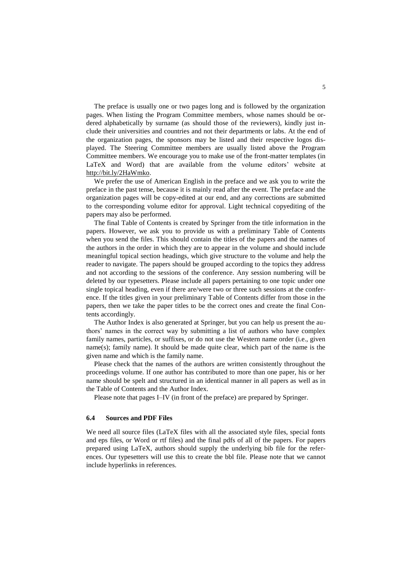The preface is usually one or two pages long and is followed by the organization pages. When listing the Program Committee members, whose names should be ordered alphabetically by surname (as should those of the reviewers), kindly just include their universities and countries and not their departments or labs. At the end of the organization pages, the sponsors may be listed and their respective logos displayed. The Steering Committee members are usually listed above the Program Committee members. We encourage you to make use of the front-matter templates (in LaTeX and Word) that are available from the volume editors' website at [http://bit.ly/2HaWmko.](http://bit.ly/2HaWmko)

We prefer the use of American English in the preface and we ask you to write the preface in the past tense, because it is mainly read after the event. The preface and the organization pages will be copy-edited at our end, and any corrections are submitted to the corresponding volume editor for approval. Light technical copyediting of the papers may also be performed.

The final Table of Contents is created by Springer from the title information in the papers. However, we ask you to provide us with a preliminary Table of Contents when you send the files. This should contain the titles of the papers and the names of the authors in the order in which they are to appear in the volume and should include meaningful topical section headings, which give structure to the volume and help the reader to navigate. The papers should be grouped according to the topics they address and not according to the sessions of the conference. Any session numbering will be deleted by our typesetters. Please include all papers pertaining to one topic under one single topical heading, even if there are/were two or three such sessions at the conference. If the titles given in your preliminary Table of Contents differ from those in the papers, then we take the paper titles to be the correct ones and create the final Contents accordingly.

The Author Index is also generated at Springer, but you can help us present the authors' names in the correct way by submitting a list of authors who have complex family names, particles, or suffixes, or do not use the Western name order (i.e., given name(s); family name). It should be made quite clear, which part of the name is the given name and which is the family name.

Please check that the names of the authors are written consistently throughout the proceedings volume. If one author has contributed to more than one paper, his or her name should be spelt and structured in an identical manner in all papers as well as in the Table of Contents and the Author Index.

Please note that pages I–IV (in front of the preface) are prepared by Springer.

#### **6.4 Sources and PDF Files**

We need all source files (LaTeX files with all the associated style files, special fonts and eps files, or Word or rtf files) and the final pdfs of all of the papers. For papers prepared using LaTeX, authors should supply the underlying bib file for the references. Our typesetters will use this to create the bbl file. Please note that we cannot include hyperlinks in references.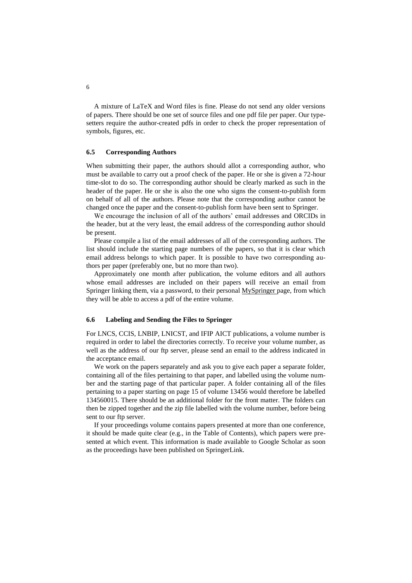A mixture of LaTeX and Word files is fine. Please do not send any older versions of papers. There should be one set of source files and one pdf file per paper. Our typesetters require the author-created pdfs in order to check the proper representation of symbols, figures, etc.

#### **6.5 Corresponding Authors**

When submitting their paper, the authors should allot a corresponding author, who must be available to carry out a proof check of the paper. He or she is given a 72-hour time-slot to do so. The corresponding author should be clearly marked as such in the header of the paper. He or she is also the one who signs the consent-to-publish form on behalf of all of the authors. Please note that the corresponding author cannot be changed once the paper and the consent-to-publish form have been sent to Springer.

We encourage the inclusion of all of the authors' email addresses and ORCIDs in the header, but at the very least, the email address of the corresponding author should be present.

Please compile a list of the email addresses of all of the corresponding authors. The list should include the starting page numbers of the papers, so that it is clear which email address belongs to which paper. It is possible to have two corresponding authors per paper (preferably one, but no more than two).

Approximately one month after publication, the volume editors and all authors whose email addresses are included on their papers will receive an email from Springer linking them, via a password, to their personal [MySpringer page,](https://www.springer.com/gp/authors-editors/myspringer-profile-for-authors-and-editors/799412) from which they will be able to access a pdf of the entire volume.

#### **6.6 Labeling and Sending the Files to Springer**

For LNCS, CCIS, LNBIP, LNICST, and IFIP AICT publications, a volume number is required in order to label the directories correctly. To receive your volume number, as well as the address of our ftp server, please send an email to the address indicated in the acceptance email.

We work on the papers separately and ask you to give each paper a separate folder, containing all of the files pertaining to that paper, and labelled using the volume number and the starting page of that particular paper. A folder containing all of the files pertaining to a paper starting on page 15 of volume 13456 would therefore be labelled 134560015. There should be an additional folder for the front matter. The folders can then be zipped together and the zip file labelled with the volume number, before being sent to our ftp server.

If your proceedings volume contains papers presented at more than one conference, it should be made quite clear (e.g., in the Table of Contents), which papers were presented at which event. This information is made available to Google Scholar as soon as the proceedings have been published on SpringerLink.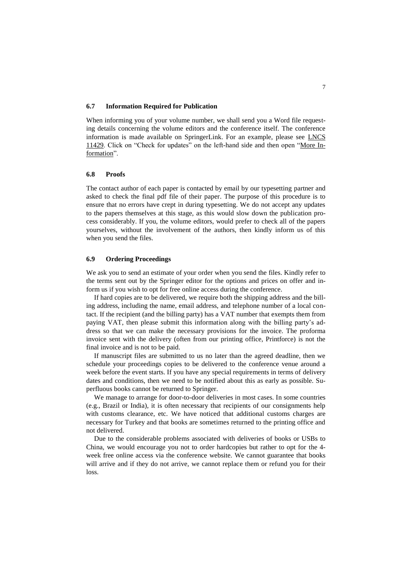#### **6.7 Information Required for Publication**

When informing you of your volume number, we shall send you a Word file requesting details concerning the volume editors and the conference itself. The conference information is made available on SpringerLink. For an example, please see [LNCS](https://link.springer.com/chapter/10.1007/978-3-030-17502-3_5#aboutcontent)  [11429.](https://link.springer.com/chapter/10.1007/978-3-030-17502-3_5#aboutcontent) Click on "Check for updates" on the left-hand side and then open ["More In](https://crossmark.crossref.org/dialog/?doi=10.1007%2F978-3-030-17502-3_5)[formation"](https://crossmark.crossref.org/dialog/?doi=10.1007%2F978-3-030-17502-3_5).

#### **6.8 Proofs**

The contact author of each paper is contacted by email by our typesetting partner and asked to check the final pdf file of their paper. The purpose of this procedure is to ensure that no errors have crept in during typesetting. We do not accept any updates to the papers themselves at this stage, as this would slow down the publication process considerably. If you, the volume editors, would prefer to check all of the papers yourselves, without the involvement of the authors, then kindly inform us of this when you send the files.

#### **6.9 Ordering Proceedings**

We ask you to send an estimate of your order when you send the files. Kindly refer to the terms sent out by the Springer editor for the options and prices on offer and inform us if you wish to opt for free online access during the conference.

If hard copies are to be delivered, we require both the shipping address and the billing address, including the name, email address, and telephone number of a local contact. If the recipient (and the billing party) has a VAT number that exempts them from paying VAT, then please submit this information along with the billing party's address so that we can make the necessary provisions for the invoice. The proforma invoice sent with the delivery (often from our printing office, Printforce) is not the final invoice and is not to be paid.

If manuscript files are submitted to us no later than the agreed deadline, then we schedule your proceedings copies to be delivered to the conference venue around a week before the event starts. If you have any special requirements in terms of delivery dates and conditions, then we need to be notified about this as early as possible. Superfluous books cannot be returned to Springer.

We manage to arrange for door-to-door deliveries in most cases. In some countries (e.g., Brazil or India), it is often necessary that recipients of our consignments help with customs clearance, etc. We have noticed that additional customs charges are necessary for Turkey and that books are sometimes returned to the printing office and not delivered.

Due to the considerable problems associated with deliveries of books or USBs to China, we would encourage you not to order hardcopies but rather to opt for the 4 week free online access via the conference website. We cannot guarantee that books will arrive and if they do not arrive, we cannot replace them or refund you for their loss.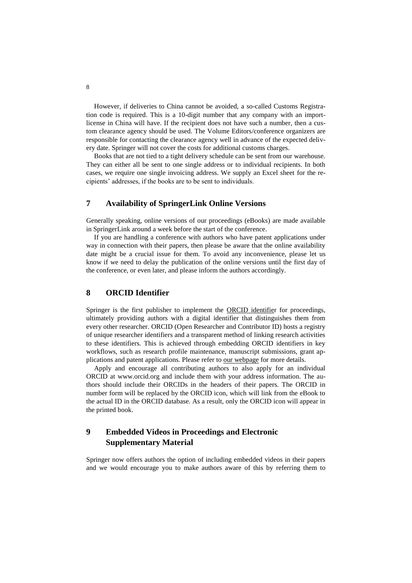However, if deliveries to China cannot be avoided, a so-called Customs Registration code is required. This is a 10-digit number that any company with an importlicense in China will have. If the recipient does not have such a number, then a custom clearance agency should be used. The Volume Editors/conference organizers are responsible for contacting the clearance agency well in advance of the expected delivery date. Springer will not cover the costs for additional customs charges.

Books that are not tied to a tight delivery schedule can be sent from our warehouse. They can either all be sent to one single address or to individual recipients. In both cases, we require one single invoicing address. We supply an Excel sheet for the recipients' addresses, if the books are to be sent to individuals.

## **7 Availability of SpringerLink Online Versions**

Generally speaking, online versions of our proceedings (eBooks) are made available in SpringerLink around a week before the start of the conference.

If you are handling a conference with authors who have patent applications under way in connection with their papers, then please be aware that the online availability date might be a crucial issue for them. To avoid any inconvenience, please let us know if we need to delay the publication of the online versions until the first day of the conference, or even later, and please inform the authors accordingly.

## **8 ORCID Identifier**

Springer is the first publisher to implement the [ORCID identifier](https://www.springer.com/gp/computer-science/lncs/orcid-for-your-proceedings-paper/12272740) for proceedings, ultimately providing authors with a digital identifier that distinguishes them from every other researcher. ORCID (Open Researcher and Contributor ID) hosts a registry of unique researcher identifiers and a transparent method of linking research activities to these identifiers. This is achieved through embedding ORCID identifiers in key workflows, such as research profile maintenance, manuscript submissions, grant applications and patent applications. Please refer to [our webpage](http://bit.ly/2H8c5Ru) for more details.

Apply and encourage all contributing authors to also apply for an individual ORCID at www.orcid.org and include them with your address information. The authors should include their ORCIDs in the headers of their papers. The ORCID in number form will be replaced by the ORCID icon, which will link from the eBook to the actual ID in the ORCID database. As a result, only the ORCID icon will appear in the printed book.

## **9 Embedded Videos in Proceedings and Electronic Supplementary Material**

Springer now offers authors the option of including embedded videos in their papers and we would encourage you to make authors aware of this by referring them to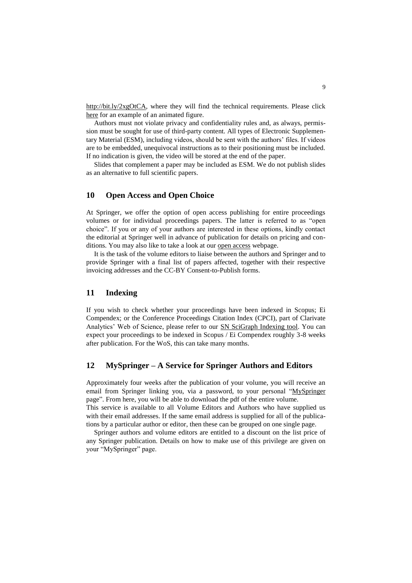[http://bit.ly/2xgOtCA,](http://bit.ly/2xgOtCA) where they will find the technical requirements. Please click [here](https://rd.springer.com/chapter/10.1007/978-3-319-46478-7_11#SupplementaryMaterial) for an example of an animated figure.

Authors must not violate privacy and confidentiality rules and, as always, permission must be sought for use of third-party content. All types of Electronic Supplementary Material (ESM), including videos, should be sent with the authors' files. If videos are to be embedded, unequivocal instructions as to their positioning must be included. If no indication is given, the video will be stored at the end of the paper.

Slides that complement a paper may be included as ESM. We do not publish slides as an alternative to full scientific papers.

## **10 Open Access and Open Choice**

At Springer, we offer the option of open access publishing for entire proceedings volumes or for individual proceedings papers. The latter is referred to as "open choice". If you or any of your authors are interested in these options, kindly contact the editorial at Springer well in advance of publication for details on pricing and conditions. You may also like to take a look at our [open access](https://www.springer.com/gp/computer-science/lncs/open-access-publishing-in-computer-proceedings) webpage.

It is the task of the volume editors to liaise between the authors and Springer and to provide Springer with a final list of papers affected, together with their respective invoicing addresses and the CC-BY Consent-to-Publish forms.

## **11 Indexing**

If you wish to check whether your proceedings have been indexed in Scopus; Ei Compendex; or the Conference Proceedings Citation Index (CPCI), part of Clarivate Analytics' Web of Science, please refer to our [SN SciGraph Indexing tool.](http://scigraph-indexing-checks.springernature.com/) You can expect your proceedings to be indexed in Scopus / Ei Compendex roughly 3-8 weeks after publication. For the WoS, this can take many months.

#### **12 MySpringer – A Service for Springer Authors and Editors**

Approximately four weeks after the publication of your volume, you will receive an email from Springer linking you, via a password, to your personal ["MySpringer](https://www.springer.com/gp/authors-editors/myspringer-profile-for-authors-and-editors/799412)" [page"](https://www.springer.com/gp/authors-editors/myspringer-profile-for-authors-and-editors/799412). From here, you will be able to download the pdf of the entire volume.

This service is available to all Volume Editors and Authors who have supplied us with their email addresses. If the same email address is supplied for all of the publications by a particular author or editor, then these can be grouped on one single page.

Springer authors and volume editors are entitled to a discount on the list price of any Springer publication. Details on how to make use of this privilege are given on your "MySpringer" page.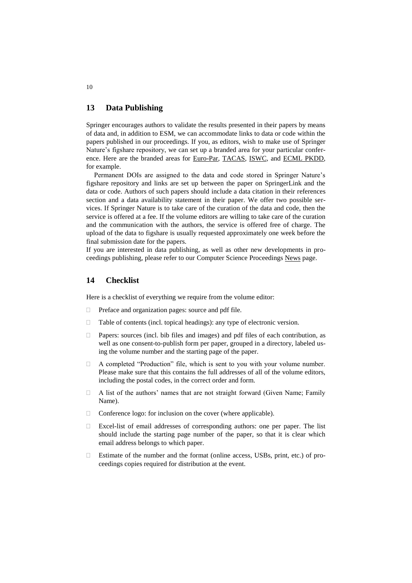### **13 Data Publishing**

Springer encourages authors to validate the results presented in their papers by means of data and, in addition to ESM, we can accommodate links to data or code within the papers published in our proceedings. If you, as editors, wish to make use of Springer Nature's figshare repository, we can set up a branded area for your particular conference. Here are the branded areas for [Euro-Par,](https://springernature.figshare.com/europar) [TACAS,](https://springernature.figshare.com/tacas) [ISWC,](https://springernature.figshare.com/semweb) and [ECML PKDD,](https://springernature.figshare.com/ecml) for example.

Permanent DOIs are assigned to the data and code stored in Springer Nature's figshare repository and links are set up between the paper on SpringerLink and the data or code. Authors of such papers should include a data citation in their references section and a data availability statement in their paper. We offer two possible services. If Springer Nature is to take care of the curation of the data and code, then the service is offered at a fee. If the volume editors are willing to take care of the curation and the communication with the authors, the service is offered free of charge. The upload of the data to figshare is usually requested approximately one week before the final submission date for the papers.

If you are interested in data publishing, as well as other new developments in proceedings publishing, please refer to our [Computer Science Proceedings News](https://www.springer.com/gp/computer-science/lncs/news) page.

## **14 Checklist**

Here is a checklist of everything we require from the volume editor:

- $\Box$  Preface and organization pages: source and pdf file.
- $\Box$  Table of contents (incl. topical headings): any type of electronic version.
- $\Box$  Papers: sources (incl. bib files and images) and pdf files of each contribution, as well as one consent-to-publish form per paper, grouped in a directory, labeled using the volume number and the starting page of the paper.
- $\Box$  A completed "Production" file, which is sent to you with your volume number. Please make sure that this contains the full addresses of all of the volume editors, including the postal codes, in the correct order and form.
- A list of the authors' names that are not straight forward (Given Name; Family Name).
- $\Box$  Conference logo: for inclusion on the cover (where applicable).
- Excel-list of email addresses of corresponding authors: one per paper. The list should include the starting page number of the paper, so that it is clear which email address belongs to which paper.
- Estimate of the number and the format (online access, USBs, print, etc.) of proceedings copies required for distribution at the event.

10